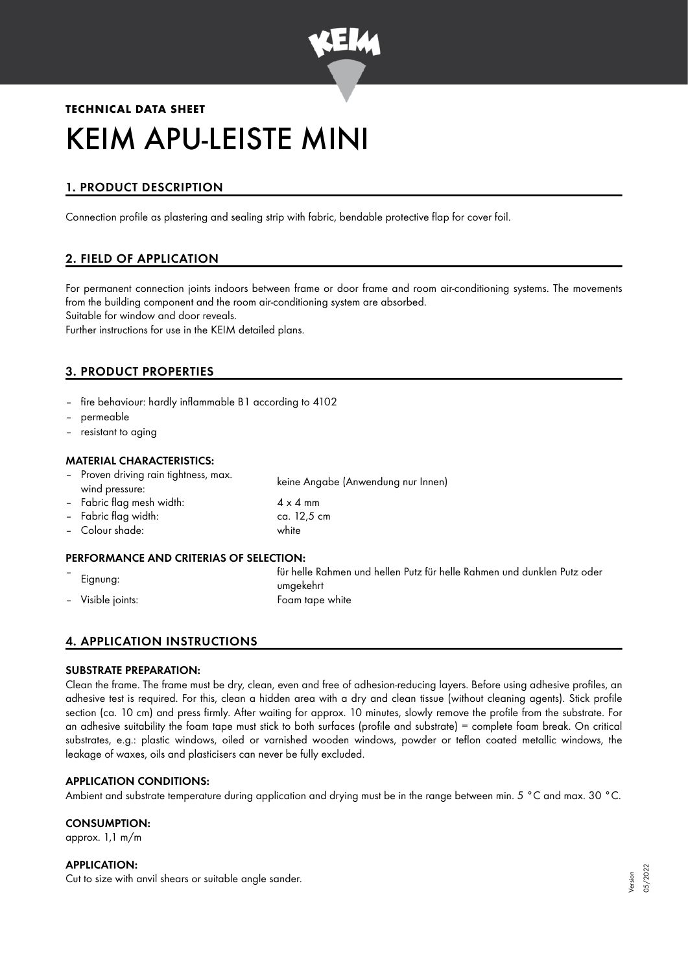

# **TECHNICAL DATA SHEET** KEIM APU-LEISTE MINI

## 1. PRODUCT DESCRIPTION

Connection profile as plastering and sealing strip with fabric, bendable protective flap for cover foil.

## 2. FIELD OF APPLICATION

For permanent connection joints indoors between frame or door frame and room air-conditioning systems. The movements from the building component and the room air-conditioning system are absorbed. Suitable for window and door reveals.

Further instructions for use in the KEIM detailed plans.

## 3. PRODUCT PROPERTIES

- fire behaviour: hardly inflammable B1 according to 4102
- permeable
- resistant to aging

#### MATERIAL CHARACTERISTICS:

- Proven driving rain tightness, max. wind pressure: keine Angabe (Anwendung nur Innen)
- Fabric flag mesh width:  $4 \times 4$  mm
- Fabric flag width: ca. 12,5 cm
- Colour shade: white

## PERFORMANCE AND CRITERIAS OF SELECTION:

– Eignung: für helle Rahmen und hellen Putz für helle Rahmen und dunklen Putz oder umgekehrt – Visible joints: Foam tape white

## 4. APPLICATION INSTRUCTIONS

#### SUBSTRATE PREPARATION:

Clean the frame. The frame must be dry, clean, even and free of adhesion-reducing layers. Before using adhesive profiles, an adhesive test is required. For this, clean a hidden area with a dry and clean tissue (without cleaning agents). Stick profile section (ca. 10 cm) and press firmly. After waiting for approx. 10 minutes, slowly remove the profile from the substrate. For an adhesive suitability the foam tape must stick to both surfaces (profile and substrate) = complete foam break. On critical substrates, e.g.: plastic windows, oiled or varnished wooden windows, powder or teflon coated metallic windows, the leakage of waxes, oils and plasticisers can never be fully excluded.

#### APPLICATION CONDITIONS:

Ambient and substrate temperature during application and drying must be in the range between min. 5 °C and max. 30 °C.

#### CONSUMPTION:

approx. 1,1 m/m

#### APPLICATION:

Cut to size with anvil shears or suitable angle sander.